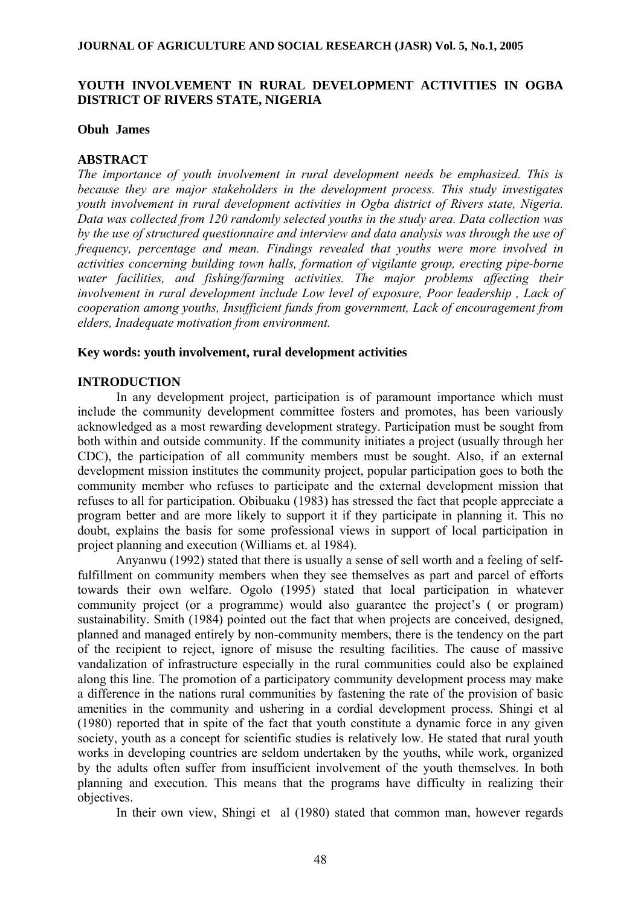#### **JOURNAL OF AGRICULTURE AND SOCIAL RESEARCH (JASR) Vol. 5, No.1, 2005**

# **YOUTH INVOLVEMENT IN RURAL DEVELOPMENT ACTIVITIES IN OGBA DISTRICT OF RIVERS STATE, NIGERIA**

### **Obuh James**

## **ABSTRACT**

*The importance of youth involvement in rural development needs be emphasized. This is because they are major stakeholders in the development process. This study investigates youth involvement in rural development activities in Ogba district of Rivers state, Nigeria. Data was collected from 120 randomly selected youths in the study area. Data collection was by the use of structured questionnaire and interview and data analysis was through the use of frequency, percentage and mean. Findings revealed that youths were more involved in activities concerning building town halls, formation of vigilante group, erecting pipe-borne*  water facilities, and fishing/farming activities. The major problems affecting their *involvement in rural development include Low level of exposure, Poor leadership , Lack of cooperation among youths, Insufficient funds from government, Lack of encouragement from elders, Inadequate motivation from environment.* 

## **Key words: youth involvement, rural development activities**

## **INTRODUCTION**

In any development project, participation is of paramount importance which must include the community development committee fosters and promotes, has been variously acknowledged as a most rewarding development strategy. Participation must be sought from both within and outside community. If the community initiates a project (usually through her CDC), the participation of all community members must be sought. Also, if an external development mission institutes the community project, popular participation goes to both the community member who refuses to participate and the external development mission that refuses to all for participation. Obibuaku (1983) has stressed the fact that people appreciate a program better and are more likely to support it if they participate in planning it. This no doubt, explains the basis for some professional views in support of local participation in project planning and execution (Williams et. al 1984).

Anyanwu (1992) stated that there is usually a sense of sell worth and a feeling of selffulfillment on community members when they see themselves as part and parcel of efforts towards their own welfare. Ogolo (1995) stated that local participation in whatever community project (or a programme) would also guarantee the project's ( or program) sustainability. Smith (1984) pointed out the fact that when projects are conceived, designed, planned and managed entirely by non-community members, there is the tendency on the part of the recipient to reject, ignore of misuse the resulting facilities. The cause of massive vandalization of infrastructure especially in the rural communities could also be explained along this line. The promotion of a participatory community development process may make a difference in the nations rural communities by fastening the rate of the provision of basic amenities in the community and ushering in a cordial development process. Shingi et al (1980) reported that in spite of the fact that youth constitute a dynamic force in any given society, youth as a concept for scientific studies is relatively low. He stated that rural youth works in developing countries are seldom undertaken by the youths, while work, organized by the adults often suffer from insufficient involvement of the youth themselves. In both planning and execution. This means that the programs have difficulty in realizing their objectives.

In their own view, Shingi et al (1980) stated that common man, however regards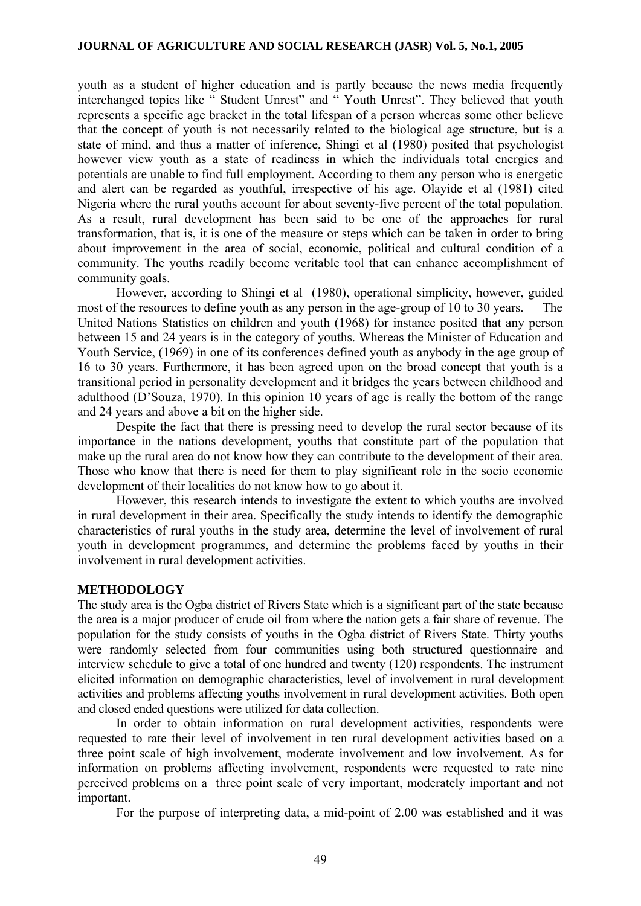youth as a student of higher education and is partly because the news media frequently interchanged topics like " Student Unrest" and " Youth Unrest". They believed that youth represents a specific age bracket in the total lifespan of a person whereas some other believe that the concept of youth is not necessarily related to the biological age structure, but is a state of mind, and thus a matter of inference, Shingi et al (1980) posited that psychologist however view youth as a state of readiness in which the individuals total energies and potentials are unable to find full employment. According to them any person who is energetic and alert can be regarded as youthful, irrespective of his age. Olayide et al (1981) cited Nigeria where the rural youths account for about seventy-five percent of the total population. As a result, rural development has been said to be one of the approaches for rural transformation, that is, it is one of the measure or steps which can be taken in order to bring about improvement in the area of social, economic, political and cultural condition of a community. The youths readily become veritable tool that can enhance accomplishment of community goals.

However, according to Shingi et al (1980), operational simplicity, however, guided most of the resources to define youth as any person in the age-group of 10 to 30 years. The United Nations Statistics on children and youth (1968) for instance posited that any person between 15 and 24 years is in the category of youths. Whereas the Minister of Education and Youth Service, (1969) in one of its conferences defined youth as anybody in the age group of 16 to 30 years. Furthermore, it has been agreed upon on the broad concept that youth is a transitional period in personality development and it bridges the years between childhood and adulthood (D'Souza, 1970). In this opinion 10 years of age is really the bottom of the range and 24 years and above a bit on the higher side.

Despite the fact that there is pressing need to develop the rural sector because of its importance in the nations development, youths that constitute part of the population that make up the rural area do not know how they can contribute to the development of their area. Those who know that there is need for them to play significant role in the socio economic development of their localities do not know how to go about it.

However, this research intends to investigate the extent to which youths are involved in rural development in their area. Specifically the study intends to identify the demographic characteristics of rural youths in the study area, determine the level of involvement of rural youth in development programmes, and determine the problems faced by youths in their involvement in rural development activities.

### **METHODOLOGY**

The study area is the Ogba district of Rivers State which is a significant part of the state because the area is a major producer of crude oil from where the nation gets a fair share of revenue. The population for the study consists of youths in the Ogba district of Rivers State. Thirty youths were randomly selected from four communities using both structured questionnaire and interview schedule to give a total of one hundred and twenty (120) respondents. The instrument elicited information on demographic characteristics, level of involvement in rural development activities and problems affecting youths involvement in rural development activities. Both open and closed ended questions were utilized for data collection.

 In order to obtain information on rural development activities, respondents were requested to rate their level of involvement in ten rural development activities based on a three point scale of high involvement, moderate involvement and low involvement. As for information on problems affecting involvement, respondents were requested to rate nine perceived problems on a three point scale of very important, moderately important and not important.

For the purpose of interpreting data, a mid-point of 2.00 was established and it was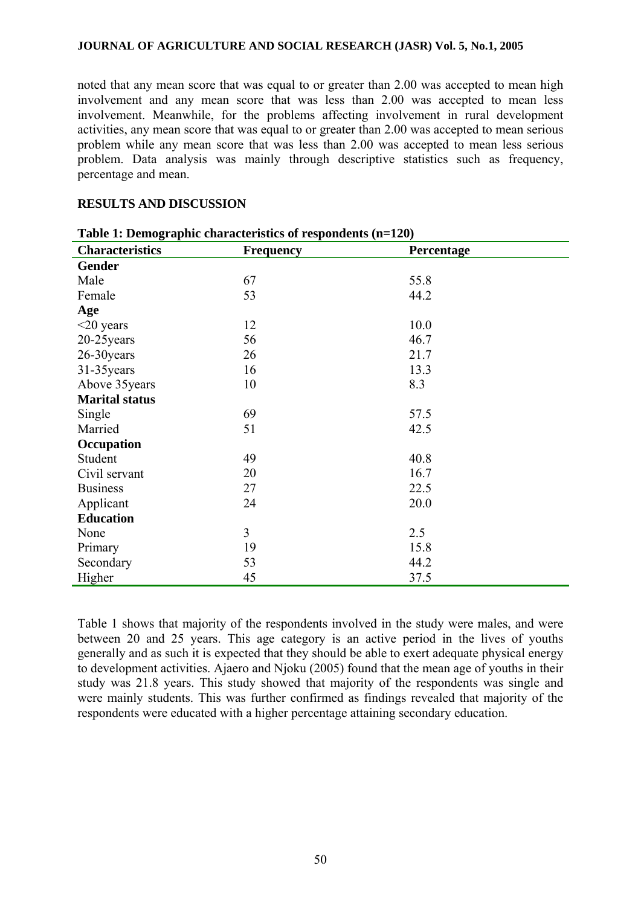noted that any mean score that was equal to or greater than 2.00 was accepted to mean high involvement and any mean score that was less than 2.00 was accepted to mean less involvement. Meanwhile, for the problems affecting involvement in rural development activities, any mean score that was equal to or greater than 2.00 was accepted to mean serious problem while any mean score that was less than 2.00 was accepted to mean less serious problem. Data analysis was mainly through descriptive statistics such as frequency, percentage and mean.

# **RESULTS AND DISCUSSION**

| Table 1. Demographic characteristics of respondents (n–120) |                  |            |  |  |  |
|-------------------------------------------------------------|------------------|------------|--|--|--|
| <b>Characteristics</b>                                      | <b>Frequency</b> | Percentage |  |  |  |
| <b>Gender</b>                                               |                  |            |  |  |  |
| Male                                                        | 67               | 55.8       |  |  |  |
| Female                                                      | 53               | 44.2       |  |  |  |
| Age                                                         |                  |            |  |  |  |
| $<$ 20 years                                                | 12               | 10.0       |  |  |  |
| $20-25$ years                                               | 56               | 46.7       |  |  |  |
| 26-30years                                                  | 26               | 21.7       |  |  |  |
| 31-35 years                                                 | 16               | 13.3       |  |  |  |
| Above 35years                                               | 10               | 8.3        |  |  |  |
| <b>Marital status</b>                                       |                  |            |  |  |  |
| Single                                                      | 69               | 57.5       |  |  |  |
| Married                                                     | 51               | 42.5       |  |  |  |
| Occupation                                                  |                  |            |  |  |  |
| Student                                                     | 49               | 40.8       |  |  |  |
| Civil servant                                               | 20               | 16.7       |  |  |  |
| <b>Business</b>                                             | 27               | 22.5       |  |  |  |
| Applicant                                                   | 24               | 20.0       |  |  |  |
| <b>Education</b>                                            |                  |            |  |  |  |
| None                                                        | 3                | 2.5        |  |  |  |
| Primary                                                     | 19               | 15.8       |  |  |  |
| Secondary                                                   | 53               | 44.2       |  |  |  |
| Higher                                                      | 45               | 37.5       |  |  |  |

|  | Table 1: Demographic characteristics of respondents (n=120) |  |
|--|-------------------------------------------------------------|--|
|  |                                                             |  |

Table 1 shows that majority of the respondents involved in the study were males, and were between 20 and 25 years. This age category is an active period in the lives of youths generally and as such it is expected that they should be able to exert adequate physical energy to development activities. Ajaero and Njoku (2005) found that the mean age of youths in their study was 21.8 years. This study showed that majority of the respondents was single and were mainly students. This was further confirmed as findings revealed that majority of the respondents were educated with a higher percentage attaining secondary education.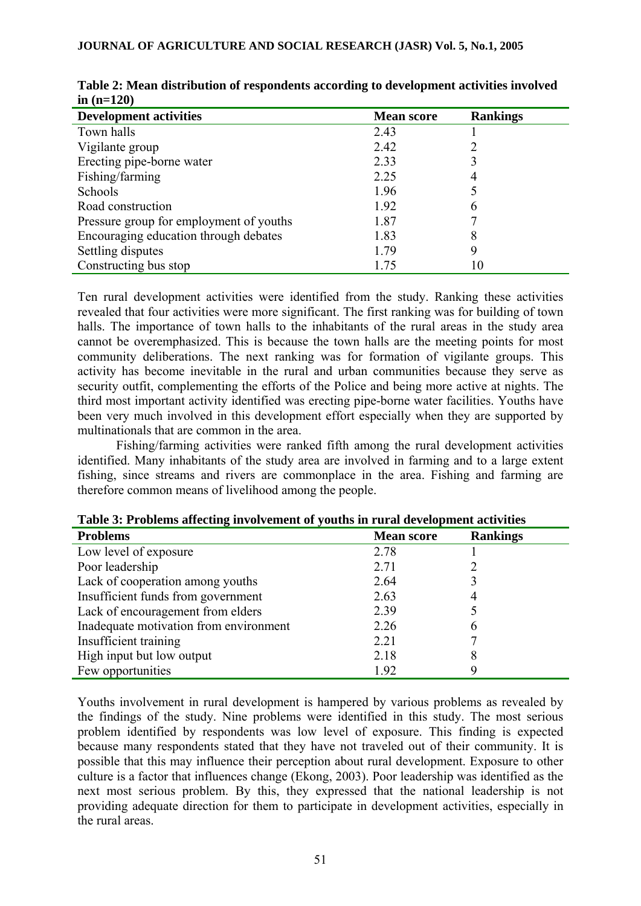| <b>Development activities</b>           | <b>Mean score</b> | <b>Rankings</b> |
|-----------------------------------------|-------------------|-----------------|
| Town halls                              | 2.43              |                 |
| Vigilante group                         | 2.42              |                 |
| Erecting pipe-borne water               | 2.33              |                 |
| Fishing/farming                         | 2.25              |                 |
| Schools                                 | 1.96              |                 |
| Road construction                       | 1.92              | 6               |
| Pressure group for employment of youths | 1.87              |                 |
| Encouraging education through debates   | 1.83              | 8               |
| Settling disputes                       | 1.79              | 9               |
| Constructing bus stop                   | 1.75              | 10              |

**Table 2: Mean distribution of respondents according to development activities involved in (n=120)** 

Ten rural development activities were identified from the study. Ranking these activities revealed that four activities were more significant. The first ranking was for building of town halls. The importance of town halls to the inhabitants of the rural areas in the study area cannot be overemphasized. This is because the town halls are the meeting points for most community deliberations. The next ranking was for formation of vigilante groups. This activity has become inevitable in the rural and urban communities because they serve as security outfit, complementing the efforts of the Police and being more active at nights. The third most important activity identified was erecting pipe-borne water facilities. Youths have been very much involved in this development effort especially when they are supported by multinationals that are common in the area.

 Fishing/farming activities were ranked fifth among the rural development activities identified. Many inhabitants of the study area are involved in farming and to a large extent fishing, since streams and rivers are commonplace in the area. Fishing and farming are therefore common means of livelihood among the people.

| <b>Problems</b>                        | <b>Mean score</b> | <b>Rankings</b> |
|----------------------------------------|-------------------|-----------------|
| Low level of exposure                  | 2.78              |                 |
| Poor leadership                        | 2.71              |                 |
| Lack of cooperation among youths       | 2.64              |                 |
| Insufficient funds from government     | 2.63              | 4               |
| Lack of encouragement from elders      | 2.39              |                 |
| Inadequate motivation from environment | 2.26              |                 |
| Insufficient training                  | 2.21              |                 |
| High input but low output              | 2.18              | 8               |
| Few opportunities                      | 1.92              |                 |

**Table 3: Problems affecting involvement of youths in rural development activities** 

Youths involvement in rural development is hampered by various problems as revealed by the findings of the study. Nine problems were identified in this study. The most serious problem identified by respondents was low level of exposure. This finding is expected because many respondents stated that they have not traveled out of their community. It is possible that this may influence their perception about rural development. Exposure to other culture is a factor that influences change (Ekong, 2003). Poor leadership was identified as the next most serious problem. By this, they expressed that the national leadership is not providing adequate direction for them to participate in development activities, especially in the rural areas.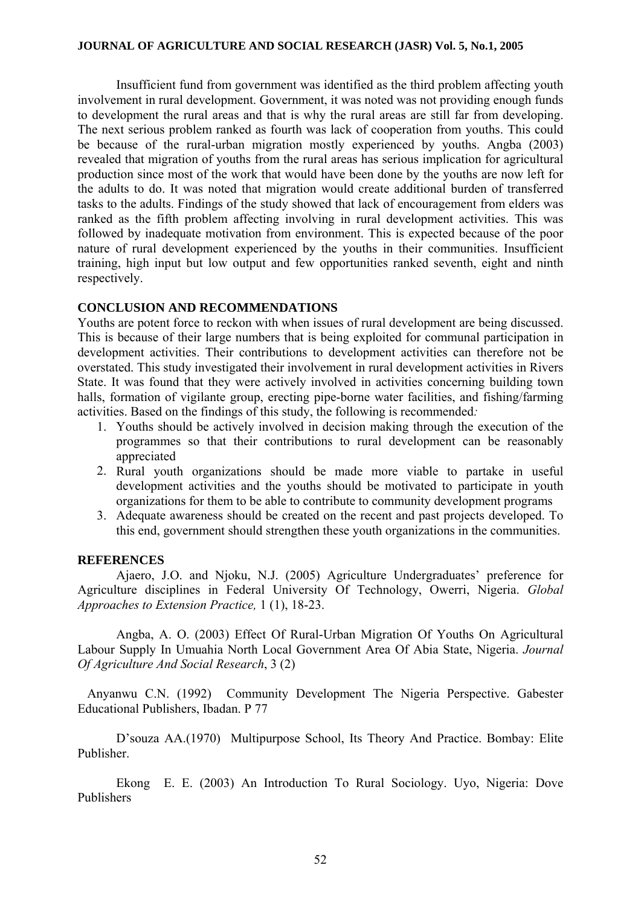### **JOURNAL OF AGRICULTURE AND SOCIAL RESEARCH (JASR) Vol. 5, No.1, 2005**

 Insufficient fund from government was identified as the third problem affecting youth involvement in rural development. Government, it was noted was not providing enough funds to development the rural areas and that is why the rural areas are still far from developing. The next serious problem ranked as fourth was lack of cooperation from youths. This could be because of the rural-urban migration mostly experienced by youths. Angba (2003) revealed that migration of youths from the rural areas has serious implication for agricultural production since most of the work that would have been done by the youths are now left for the adults to do. It was noted that migration would create additional burden of transferred tasks to the adults. Findings of the study showed that lack of encouragement from elders was ranked as the fifth problem affecting involving in rural development activities. This was followed by inadequate motivation from environment. This is expected because of the poor nature of rural development experienced by the youths in their communities. Insufficient training, high input but low output and few opportunities ranked seventh, eight and ninth respectively.

# **CONCLUSION AND RECOMMENDATIONS**

Youths are potent force to reckon with when issues of rural development are being discussed. This is because of their large numbers that is being exploited for communal participation in development activities. Their contributions to development activities can therefore not be overstated. This study investigated their involvement in rural development activities in Rivers State. It was found that they were actively involved in activities concerning building town halls, formation of vigilante group, erecting pipe-borne water facilities, and fishing/farming activities. Based on the findings of this study, the following is recommended*:*

- 1. Youths should be actively involved in decision making through the execution of the programmes so that their contributions to rural development can be reasonably appreciated
- 2. Rural youth organizations should be made more viable to partake in useful development activities and the youths should be motivated to participate in youth organizations for them to be able to contribute to community development programs
- 3. Adequate awareness should be created on the recent and past projects developed. To this end, government should strengthen these youth organizations in the communities.

# **REFERENCES**

Ajaero, J.O. and Njoku, N.J. (2005) Agriculture Undergraduates' preference for Agriculture disciplines in Federal University Of Technology, Owerri, Nigeria. *Global Approaches to Extension Practice,* 1 (1), 18-23.

Angba, A. O. (2003) Effect Of Rural-Urban Migration Of Youths On Agricultural Labour Supply In Umuahia North Local Government Area Of Abia State, Nigeria. *Journal Of Agriculture And Social Research*, 3 (2)

Anyanwu C.N. (1992) Community Development The Nigeria Perspective. Gabester Educational Publishers, Ibadan. P 77

D'souza AA.(1970) Multipurpose School, Its Theory And Practice. Bombay: Elite Publisher.

Ekong E. E. (2003) An Introduction To Rural Sociology. Uyo, Nigeria: Dove Publishers